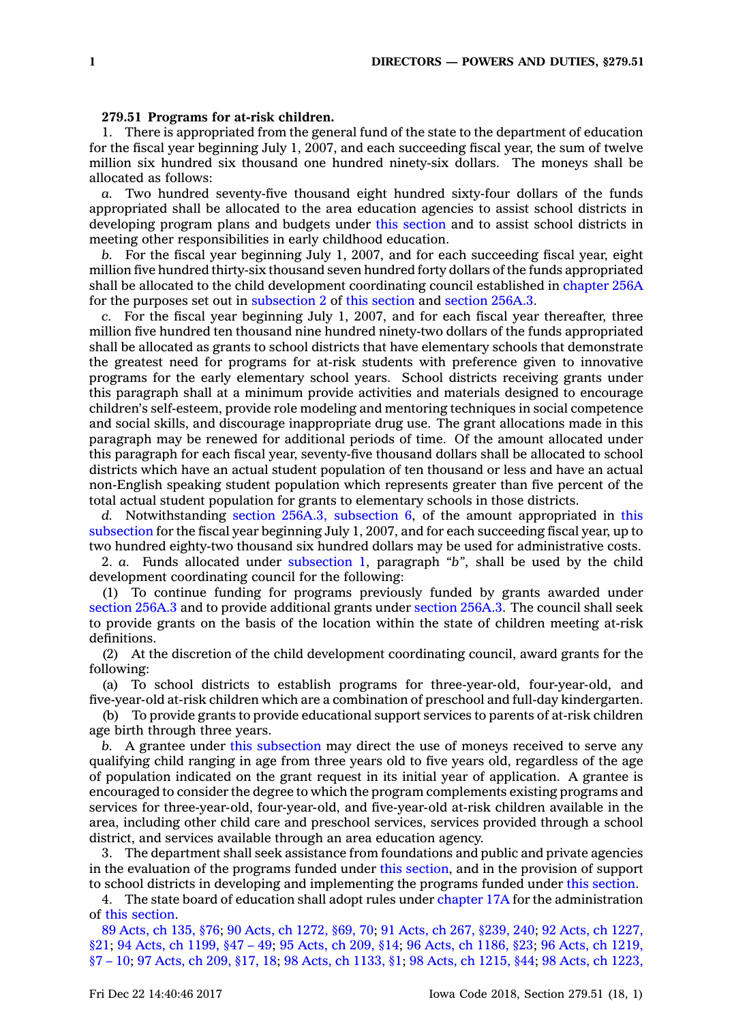## **279.51 Programs for at-risk children.**

1. There is appropriated from the general fund of the state to the department of education for the fiscal year beginning July 1, 2007, and each succeeding fiscal year, the sum of twelve million six hundred six thousand one hundred ninety-six dollars. The moneys shall be allocated as follows:

*a.* Two hundred seventy-five thousand eight hundred sixty-four dollars of the funds appropriated shall be allocated to the area education agencies to assist school districts in developing program plans and budgets under this [section](https://www.legis.iowa.gov/docs/code/279.51.pdf) and to assist school districts in meeting other responsibilities in early childhood education.

*b.* For the fiscal year beginning July 1, 2007, and for each succeeding fiscal year, eight million five hundred thirty-six thousand seven hundred forty dollars of the funds appropriated shall be allocated to the child development coordinating council established in [chapter](https://www.legis.iowa.gov/docs/code//256A.pdf) 256A for the purposes set out in [subsection](https://www.legis.iowa.gov/docs/code/279.51.pdf) 2 of this [section](https://www.legis.iowa.gov/docs/code/279.51.pdf) and [section](https://www.legis.iowa.gov/docs/code/256A.3.pdf) 256A.3.

*c.* For the fiscal year beginning July 1, 2007, and for each fiscal year thereafter, three million five hundred ten thousand nine hundred ninety-two dollars of the funds appropriated shall be allocated as grants to school districts that have elementary schools that demonstrate the greatest need for programs for at-risk students with preference given to innovative programs for the early elementary school years. School districts receiving grants under this paragraph shall at <sup>a</sup> minimum provide activities and materials designed to encourage children's self-esteem, provide role modeling and mentoring techniques in social competence and social skills, and discourage inappropriate drug use. The grant allocations made in this paragraph may be renewed for additional periods of time. Of the amount allocated under this paragraph for each fiscal year, seventy-five thousand dollars shall be allocated to school districts which have an actual student population of ten thousand or less and have an actual non-English speaking student population which represents greater than five percent of the total actual student population for grants to elementary schools in those districts.

*d.* Notwithstanding section 256A.3, [subsection](https://www.legis.iowa.gov/docs/code/256A.3.pdf) 6, of the amount appropriated in [this](https://www.legis.iowa.gov/docs/code/279.51.pdf) [subsection](https://www.legis.iowa.gov/docs/code/279.51.pdf) for the fiscal year beginning July 1, 2007, and for each succeeding fiscal year, up to two hundred eighty-two thousand six hundred dollars may be used for administrative costs.

2. *a.* Funds allocated under [subsection](https://www.legis.iowa.gov/docs/code/279.51.pdf) 1, paragraph *"b"*, shall be used by the child development coordinating council for the following:

(1) To continue funding for programs previously funded by grants awarded under [section](https://www.legis.iowa.gov/docs/code/256A.3.pdf) 256A.3 and to provide additional grants under [section](https://www.legis.iowa.gov/docs/code/256A.3.pdf) 256A.3. The council shall seek to provide grants on the basis of the location within the state of children meeting at-risk definitions.

(2) At the discretion of the child development coordinating council, award grants for the following:

(a) To school districts to establish programs for three-year-old, four-year-old, and five-year-old at-risk children which are <sup>a</sup> combination of preschool and full-day kindergarten.

(b) To provide grants to provide educational support services to parents of at-risk children age birth through three years.

*b.* A grantee under this [subsection](https://www.legis.iowa.gov/docs/code/279.51.pdf) may direct the use of moneys received to serve any qualifying child ranging in age from three years old to five years old, regardless of the age of population indicated on the grant request in its initial year of application. A grantee is encouraged to consider the degree to which the program complements existing programs and services for three-year-old, four-year-old, and five-year-old at-risk children available in the area, including other child care and preschool services, services provided through <sup>a</sup> school district, and services available through an area education agency.

3. The department shall seek assistance from foundations and public and private agencies in the evaluation of the programs funded under this [section](https://www.legis.iowa.gov/docs/code/279.51.pdf), and in the provision of support to school districts in developing and implementing the programs funded under this [section](https://www.legis.iowa.gov/docs/code/279.51.pdf).

4. The state board of education shall adopt rules under [chapter](https://www.legis.iowa.gov/docs/code//17A.pdf) 17A for the administration of this [section](https://www.legis.iowa.gov/docs/code/279.51.pdf).

89 [Acts,](https://www.legis.iowa.gov/docs/acts/89/CH0135.pdf) ch 135, §76; 90 Acts, ch [1272,](https://www.legis.iowa.gov/docs/acts/90/CH1272.pdf) §69, 70; 91 Acts, ch 267, [§239,](https://www.legis.iowa.gov/docs/acts/91/CH0267.pdf) 240; 92 Acts, ch [1227,](https://www.legis.iowa.gov/docs/acts/92/CH1227.pdf) [§21](https://www.legis.iowa.gov/docs/acts/92/CH1227.pdf); 94 Acts, ch [1199,](https://www.legis.iowa.gov/docs/acts/94/CH1199.pdf) §47 – 49; 95 [Acts,](https://www.legis.iowa.gov/docs/acts/95/CH0209.pdf) ch 209, §14; 96 Acts, ch [1186,](https://www.legis.iowa.gov/docs/acts/96/CH1186.pdf) §23; 96 Acts, ch [1219,](https://www.legis.iowa.gov/docs/acts/96/CH1219.pdf) §7 – [10](https://www.legis.iowa.gov/docs/acts/96/CH1219.pdf); 97 [Acts,](https://www.legis.iowa.gov/docs/acts/97/CH0209.pdf) ch 209, §17, 18; 98 Acts, ch [1133,](https://www.legis.iowa.gov/docs/acts/98/CH1133.pdf) §1; 98 Acts, ch [1215,](https://www.legis.iowa.gov/docs/acts/98/CH1215.pdf) §44; 98 Acts, ch [1223,](https://www.legis.iowa.gov/docs/acts/98/CH1223.pdf)